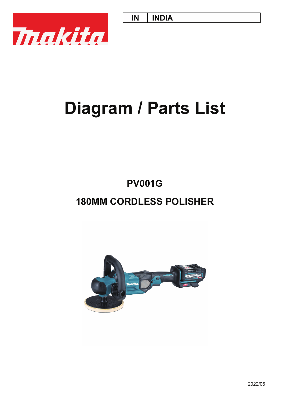**IN INDIA**



# **Diagram / Parts List**

## **PV001G**

## **180MM CORDLESS POLISHER**

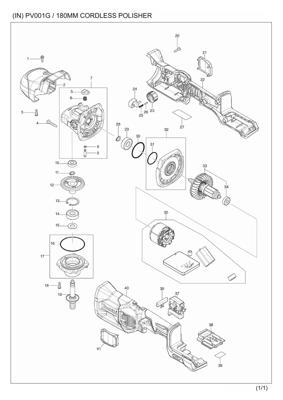#### (IN) PV001G / 180MM CORDLESS POLISHER